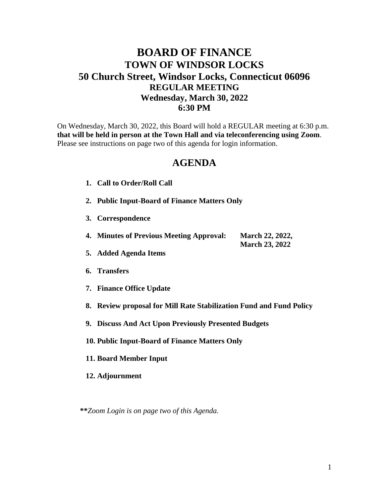## **BOARD OF FINANCE TOWN OF WINDSOR LOCKS 50 Church Street, Windsor Locks, Connecticut 06096 REGULAR MEETING Wednesday, March 30, 2022 6:30 PM**

On Wednesday, March 30, 2022, this Board will hold a REGULAR meeting at 6:30 p.m. **that will be held in person at the Town Hall and via teleconferencing using Zoom**. Please see instructions on page two of this agenda for login information.

## **AGENDA**

- **1. Call to Order/Roll Call**
- **2. Public Input-Board of Finance Matters Only**
- **3. Correspondence**
- **4. Minutes of Previous Meeting Approval: March 22, 2022, March 23, 2022**
- **5. Added Agenda Items**
- **6. Transfers**
- **7. Finance Office Update**
- **8. Review proposal for Mill Rate Stabilization Fund and Fund Policy**
- **9. Discuss And Act Upon Previously Presented Budgets**
- **10. Public Input-Board of Finance Matters Only**
- **11. Board Member Input**
- **12. Adjournment**

**\*\****Zoom Login is on page two of this Agenda.*